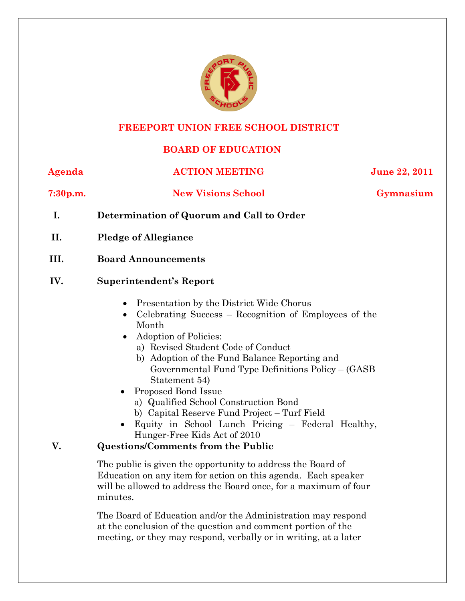

#### **FREEPORT UNION FREE SCHOOL DISTRICT**

## **BOARD OF EDUCATION**

**Agenda ACTION MEETING June 22, 2011**

**7:30p.m. New Visions School Gymnasium**

- **I. Determination of Quorum and Call to Order**
- **II. Pledge of Allegiance**

### **III. Board Announcements**

### **IV. Superintendent's Report**

- Presentation by the District Wide Chorus
- Celebrating Success Recognition of Employees of the Month
- Adoption of Policies:
	- a) Revised Student Code of Conduct
	- b) Adoption of the Fund Balance Reporting and Governmental Fund Type Definitions Policy – (GASB Statement 54)
- Proposed Bond Issue
	- a) Qualified School Construction Bond
	- b) Capital Reserve Fund Project Turf Field
- Equity in School Lunch Pricing Federal Healthy, Hunger-Free Kids Act of 2010

## **V. Questions/Comments from the Public**

The public is given the opportunity to address the Board of Education on any item for action on this agenda. Each speaker will be allowed to address the Board once, for a maximum of four minutes.

The Board of Education and/or the Administration may respond at the conclusion of the question and comment portion of the meeting, or they may respond, verbally or in writing, at a later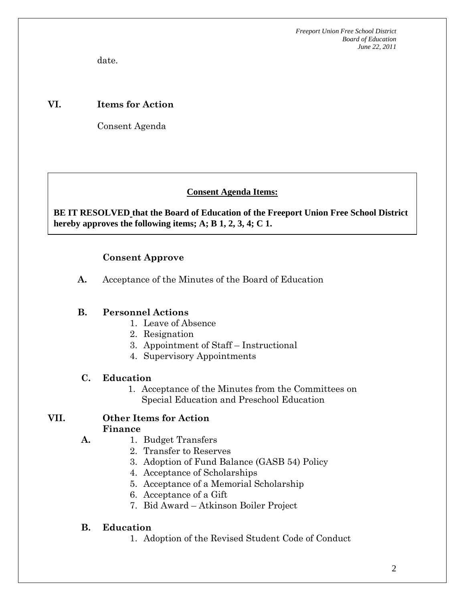*Freeport Union Free School District Board of Education June 22, 2011*

date.

#### **VI. Items for Action**

Consent Agenda

 **AA. Consent - Approve** 

#### **Consent Agenda Items:**

 *Acceptance of the Minutes*  $\mathbf{A}$ **BE IT RESOLVED that the Board of Education of the Freeport Union Free School District hereby approves the following items; A; B 1, 2, 3, 4; C 1.** 

#### **Consent Approve**

**A.** Acceptance of the Minutes of the Board of Education

#### **B. Personnel Actions**

- 1. Leave of Absence
- 2. Resignation
- 3. Appointment of Staff Instructional
- 4. Supervisory Appointments

#### **C. Education**

**A.** 

1. Acceptance of the Minutes from the Committees on Special Education and Preschool Education

#### **VII. Other Items for Action Finance**

- 1. Budget Transfers
	- 2. Transfer to Reserves
	- 3. Adoption of Fund Balance (GASB 54) Policy
	- 4. Acceptance of Scholarships
	- 5. Acceptance of a Memorial Scholarship
	- 6. Acceptance of a Gift
	- 7. Bid Award Atkinson Boiler Project

#### **B. Education**

1. Adoption of the Revised Student Code of Conduct